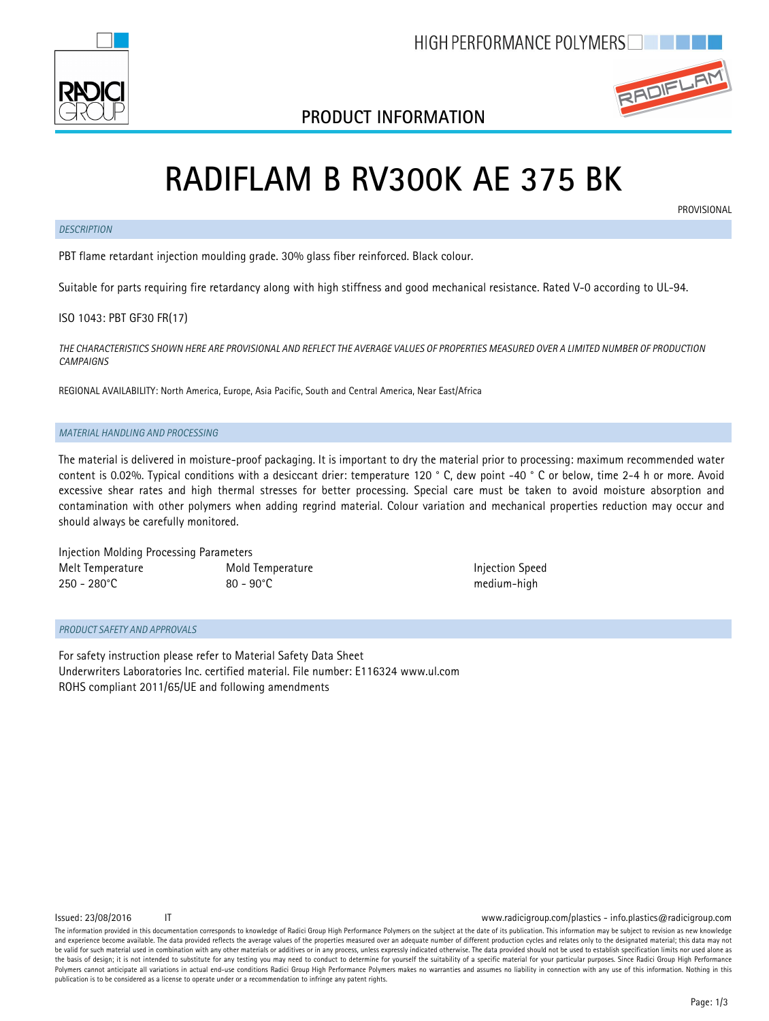

## **PRODUCT INFORMATION**



# **RADIFLAM B RV300K AE 375 BK**

### *DESCRIPTION*

**PROVISIONAL** 

PBT flame retardant injection moulding grade. 30% glass fiber reinforced. Black colour.

Suitable for parts requiring fire retardancy along with high stiffness and good mechanical resistance. Rated V-0 according to UL-94.

## ISO 1043: PBT GF30 FR(17)

*THE CHARACTERISTICS SHOWN HERE ARE PROVISIONAL AND REFLECT THE AVERAGE VALUES OF PROPERTIES MEASURED OVER A LIMITED NUMBER OF PRODUCTION CAMPAIGNS*

REGIONAL AVAILABILITY: North America, Europe, Asia Pacific, South and Central America, Near East/Africa

### *MATERIAL HANDLING AND PROCESSING*

The material is delivered in moisture-proof packaging. It is important to dry the material prior to processing: maximum recommended water content is 0.02%. Typical conditions with a desiccant drier: temperature 120 ° C, dew point -40 ° C or below, time 2-4 h or more. Avoid excessive shear rates and high thermal stresses for better processing. Special care must be taken to avoid moisture absorption and contamination with other polymers when adding regrind material. Colour variation and mechanical properties reduction may occur and should always be carefully monitored.

Injection Molding Processing Parameters Melt Temperature Mold Temperature Injection Speed 250 - 280°C 80 - 90°C medium-high

### *PRODUCT SAFETY AND APPROVALS*

For safety instruction please refer to Material Safety Data Sheet Underwriters Laboratories Inc. certified material. File number: E116324 www.ul.com ROHS compliant 2011/65/UE and following amendments

Issued: 23/08/2016 IT www.radicigroup.com/plastics - info.plastics@radicigroup.com

The information provided in this documentation corresponds to knowledge of Radici Group High Performance Polymers on the subject at the date of its publication. This information may be subject to revision as new knowledge and experience become available. The data provided reflects the average values of the properties measured over an adequate number of different production cycles and relates only to the designated material; this data may no be valid for such material used in combination with any other materials or additives or in any process, unless expressly indicated otherwise. The data provided should not be used to establish specification limits nor used the basis of design; it is not intended to substitute for any testing you may need to conduct to determine for yourself the suitability of a specific material for your particular purposes. Since Radici Group High Performan Polymers cannot anticipate all variations in actual end-use conditions Radici Group High Performance Polymers makes no warranties and assumes no liability in connection with any use of this information. Nothing in this publication is to be considered as a license to operate under or a recommendation to infringe any patent rights.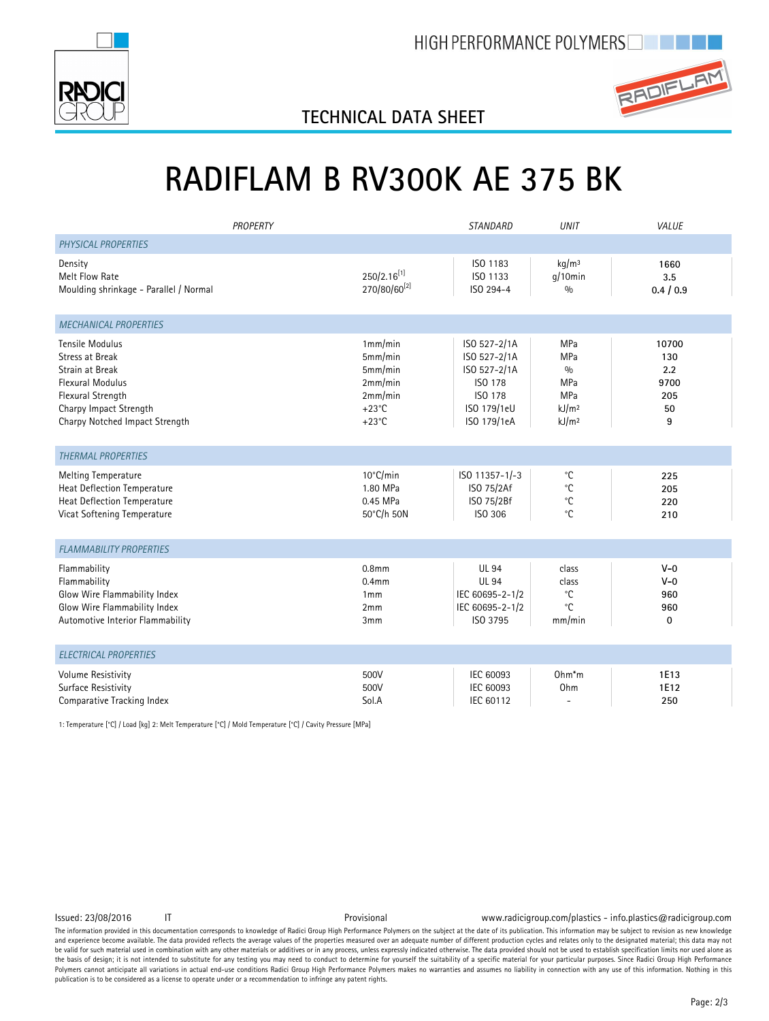



## **TECHNICAL DATA SHEET**

# **RADIFLAM B RV300K AE 375 BK**

| PROPERTY                                                                                                                                                                        |                                                                                           | <b>STANDARD</b>                                                                                  | <b>UNIT</b>                                                               | VALUE                                         |
|---------------------------------------------------------------------------------------------------------------------------------------------------------------------------------|-------------------------------------------------------------------------------------------|--------------------------------------------------------------------------------------------------|---------------------------------------------------------------------------|-----------------------------------------------|
| PHYSICAL PROPERTIES                                                                                                                                                             |                                                                                           |                                                                                                  |                                                                           |                                               |
| Density<br>Melt Flow Rate<br>Moulding shrinkage - Parallel / Normal                                                                                                             | $250/2.16^{[1]}$<br>270/80/60[2]                                                          | ISO 1183<br>ISO 1133<br>ISO 294-4                                                                | kg/m <sup>3</sup><br>$q/10$ min<br>0/0                                    | 1660<br>3.5<br>0.4 / 0.9                      |
| <b>MECHANICAL PROPERTIES</b>                                                                                                                                                    |                                                                                           |                                                                                                  |                                                                           |                                               |
| <b>Tensile Modulus</b><br><b>Stress at Break</b><br>Strain at Break<br><b>Flexural Modulus</b><br>Flexural Strength<br>Charpy Impact Strength<br>Charpy Notched Impact Strength | 1mm/min<br>5mm/min<br>5mm/min<br>2mm/min<br>2mm/min<br>$+23^{\circ}$ C<br>$+23^{\circ}$ C | ISO 527-2/1A<br>ISO 527-2/1A<br>ISO 527-2/1A<br>ISO 178<br>ISO 178<br>ISO 179/1eU<br>ISO 179/1eA | MPa<br>MPa<br>0/0<br>MPa<br>MPa<br>kJ/m <sup>2</sup><br>kJ/m <sup>2</sup> | 10700<br>130<br>2.2<br>9700<br>205<br>50<br>9 |
| <b>THERMAL PROPERTIES</b>                                                                                                                                                       |                                                                                           |                                                                                                  |                                                                           |                                               |
| <b>Melting Temperature</b><br>Heat Deflection Temperature<br>Heat Deflection Temperature<br>Vicat Softening Temperature                                                         | 10°C/min<br>1.80 MPa<br>0.45 MPa<br>50°C/h 50N                                            | ISO 11357-1/-3<br>ISO 75/2Af<br>ISO 75/2Bf<br>ISO 306                                            | $^{\circ}$ C<br>°C<br>$^{\circ}{\rm C}$<br>$^{\circ}$ C                   | 225<br>205<br>220<br>210                      |
| <b>FLAMMABILITY PROPERTIES</b>                                                                                                                                                  |                                                                                           |                                                                                                  |                                                                           |                                               |
| Flammability<br>Flammability<br>Glow Wire Flammability Index<br>Glow Wire Flammability Index<br>Automotive Interior Flammability                                                | 0.8 <sub>mm</sub><br>0.4 <sub>mm</sub><br>1mm<br>2mm<br>3 <sub>mm</sub>                   | <b>UL 94</b><br><b>UL 94</b><br>IEC 60695-2-1/2<br>IEC 60695-2-1/2<br>ISO 3795                   | class<br>class<br>$^{\circ}$ C<br>$^{\circ}$ C<br>mm/min                  | $V - 0$<br>$V - 0$<br>960<br>960<br>0         |
| <b>ELECTRICAL PROPERTIES</b>                                                                                                                                                    |                                                                                           |                                                                                                  |                                                                           |                                               |
| Volume Resistivity<br>Surface Resistivity<br>Comparative Tracking Index                                                                                                         | 500V<br>500V<br>Sol.A                                                                     | IEC 60093<br>IEC 60093<br>IEC 60112                                                              | $Ohm*m$<br>Ohm                                                            | 1E13<br>1E12<br>250                           |

1: Temperature [°C] / Load [kg] 2: Melt Temperature [°C] / Mold Temperature [°C] / Cavity Pressure [MPa]

Issued: 23/08/2016 IT Provisional www.radicigroup.com/plastics - info.plastics@radicigroup.com

The information provided in this documentation corresponds to knowledge of Radici Group High Performance Polymers on the subject at the date of its publication. This information may be subject to revision as new knowledge and experience become available. The data provided reflects the average values of the properties measured over an adequate number of different production cycles and relates only to the designated material; this data may no be valid for such material used in combination with any other materials or additives or in any process, unless expressly indicated otherwise. The data provided should not be used to establish specification limits nor used the basis of design; it is not intended to substitute for any testing you may need to conduct to determine for yourself the suitability of a specific material for your particular purposes. Since Radici Group High Performance Polymers cannot anticipate all variations in actual end-use conditions Radici Group High Performance Polymers makes no warranties and assumes no liability in connection with any use of this information. Nothing in this publication is to be considered as a license to operate under or a recommendation to infringe any patent rights.